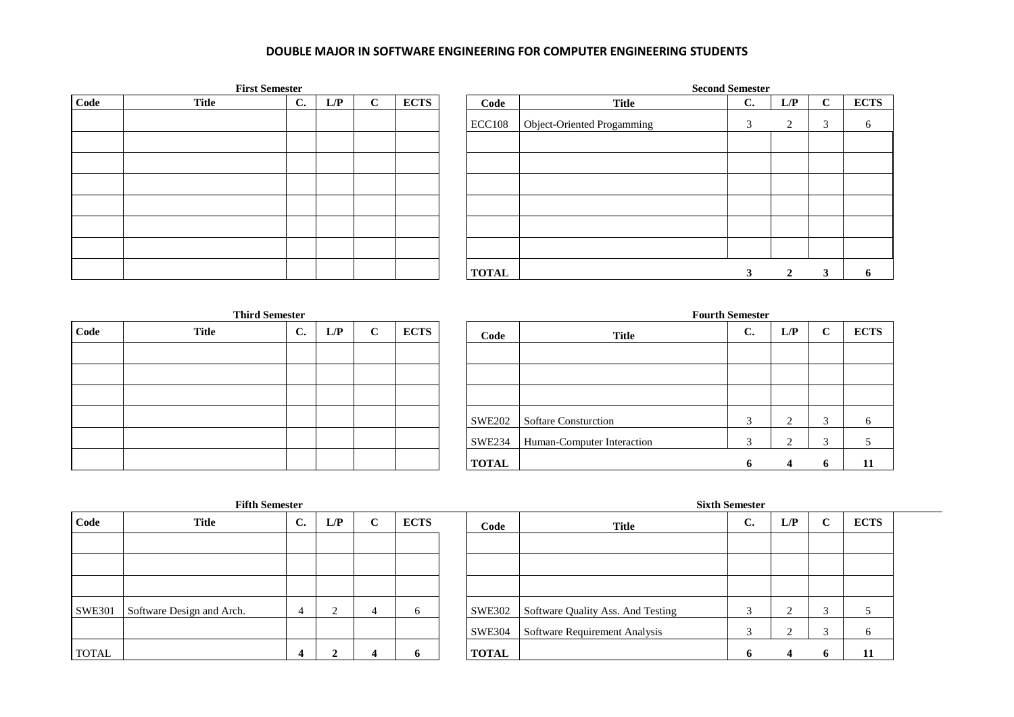## **DOUBLE MAJOR IN SOFTWARE ENGINEERING FOR COMPUTER ENGINEERING STUDENTS**

| <b>First Semester</b> |              |    |     |             |             |  |               | <b>Second Semester</b>     |    |                |             |             |  |  |  |
|-----------------------|--------------|----|-----|-------------|-------------|--|---------------|----------------------------|----|----------------|-------------|-------------|--|--|--|
| Code                  | <b>Title</b> | C. | L/P | $\sim$<br>◡ | <b>ECTS</b> |  | Code          | <b>Title</b>               | C. | L/P            | $\sim$<br>◡ | <b>ECTS</b> |  |  |  |
|                       |              |    |     |             |             |  | <b>ECC108</b> | Object-Oriented Progamming | 3  | $\bigcap$<br>∠ | 3           | 6           |  |  |  |
|                       |              |    |     |             |             |  |               |                            |    |                |             |             |  |  |  |
|                       |              |    |     |             |             |  |               |                            |    |                |             |             |  |  |  |
|                       |              |    |     |             |             |  |               |                            |    |                |             |             |  |  |  |
|                       |              |    |     |             |             |  |               |                            |    |                |             |             |  |  |  |
|                       |              |    |     |             |             |  |               |                            |    |                |             |             |  |  |  |
|                       |              |    |     |             |             |  |               |                            |    |                |             |             |  |  |  |
|                       |              |    |     |             |             |  | <b>TOTAL</b>  |                            |    |                |             |             |  |  |  |

| <b>Third Semester</b> |              |                |     |             |             |  |  |  |  |  |  |
|-----------------------|--------------|----------------|-----|-------------|-------------|--|--|--|--|--|--|
| Code                  | <b>Title</b> | $\mathbf{C}$ . | L/P | $\mathbf C$ | <b>ECTS</b> |  |  |  |  |  |  |
|                       |              |                |     |             |             |  |  |  |  |  |  |
|                       |              |                |     |             |             |  |  |  |  |  |  |
|                       |              |                |     |             |             |  |  |  |  |  |  |
|                       |              |                |     |             |             |  |  |  |  |  |  |
|                       |              |                |     |             |             |  |  |  |  |  |  |
|                       |              |                |     |             |             |  |  |  |  |  |  |

|      | <b>Third Semester</b> |    |     |   |             | <b>Fourth Semester</b> |                             |                |     |              |             |  |
|------|-----------------------|----|-----|---|-------------|------------------------|-----------------------------|----------------|-----|--------------|-------------|--|
| Code | <b>Title</b>          | C. | L/P | C | <b>ECTS</b> | Code                   | <b>Title</b>                | $\mathbf{C}$ . | L/P | $\mathbf C$  | <b>ECTS</b> |  |
|      |                       |    |     |   |             |                        |                             |                |     |              |             |  |
|      |                       |    |     |   |             |                        |                             |                |     |              |             |  |
|      |                       |    |     |   |             |                        |                             |                |     |              |             |  |
|      |                       |    |     |   |             | SWE202                 | <b>Softare Consturction</b> |                |     | $\sim$<br>Ľ. |             |  |
|      |                       |    |     |   |             | SWE234                 | Human-Computer Interaction  |                |     | $\sim$       |             |  |
|      |                       |    |     |   |             | <b>TOTAL</b>           |                             |                |     | $\mathbf 0$  | 11          |  |

| <b>Fifth Semester</b> |                           |                |     |             |             |  |               | <b>Sixth Semester</b>             |                    |     |        |              |  |  |
|-----------------------|---------------------------|----------------|-----|-------------|-------------|--|---------------|-----------------------------------|--------------------|-----|--------|--------------|--|--|
| Code                  | <b>Title</b>              | $\mathbf{C}$ . | L/P | $\mathbf C$ | <b>ECTS</b> |  | Code          | <b>Title</b>                      | $\mathbf{C}$<br>J. | L/P | ◡      | <b>ECTS</b>  |  |  |
|                       |                           |                |     |             |             |  |               |                                   |                    |     |        |              |  |  |
|                       |                           |                |     |             |             |  |               |                                   |                    |     |        |              |  |  |
|                       |                           |                |     |             |             |  |               |                                   |                    |     |        |              |  |  |
| <b>SWE301</b>         | Software Design and Arch. |                |     | 4           | n           |  | <b>SWE302</b> | Software Quality Ass. And Testing |                    |     |        |              |  |  |
|                       |                           |                |     |             |             |  | <b>SWE304</b> | Software Requirement Analysis     |                    |     | $\sim$ | <sub>0</sub> |  |  |
| <b>TOTAL</b>          |                           | $\overline{4}$ |     |             | 0           |  | <b>TOTAL</b>  |                                   | Đ                  |     | O.     | 11           |  |  |